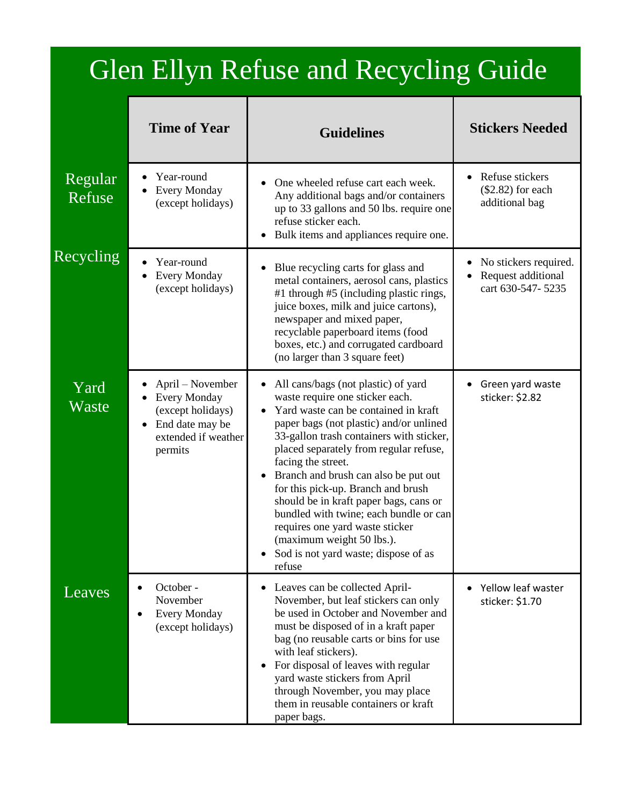## Glen Ellyn Refuse and Recycling Guide

|                   | <b>Time of Year</b>                                                                                                            | <b>Guidelines</b>                                                                                                                                                                                                                                                                                                                                                                                                                                                                                                                                         | <b>Stickers Needed</b>                                           |
|-------------------|--------------------------------------------------------------------------------------------------------------------------------|-----------------------------------------------------------------------------------------------------------------------------------------------------------------------------------------------------------------------------------------------------------------------------------------------------------------------------------------------------------------------------------------------------------------------------------------------------------------------------------------------------------------------------------------------------------|------------------------------------------------------------------|
| Regular<br>Refuse | Year-round<br><b>Every Monday</b><br>(except holidays)                                                                         | One wheeled refuse cart each week.<br>Any additional bags and/or containers<br>up to 33 gallons and 50 lbs. require one<br>refuse sticker each.<br>Bulk items and appliances require one.                                                                                                                                                                                                                                                                                                                                                                 | • Refuse stickers<br>$(\$2.82)$ for each<br>additional bag       |
| Recycling         | Year-round<br><b>Every Monday</b><br>(except holidays)                                                                         | Blue recycling carts for glass and<br>metal containers, aerosol cans, plastics<br>#1 through #5 (including plastic rings,<br>juice boxes, milk and juice cartons),<br>newspaper and mixed paper,<br>recyclable paperboard items (food<br>boxes, etc.) and corrugated cardboard<br>(no larger than 3 square feet)                                                                                                                                                                                                                                          | No stickers required.<br>Request additional<br>cart 630-547-5235 |
| Yard<br>Waste     | April – November<br><b>Every Monday</b><br>(except holidays)<br>End date may be<br>$\bullet$<br>extended if weather<br>permits | All cans/bags (not plastic) of yard<br>waste require one sticker each.<br>Yard waste can be contained in kraft<br>paper bags (not plastic) and/or unlined<br>33-gallon trash containers with sticker,<br>placed separately from regular refuse,<br>facing the street.<br>Branch and brush can also be put out<br>for this pick-up. Branch and brush<br>should be in kraft paper bags, cans or<br>bundled with twine; each bundle or can<br>requires one yard waste sticker<br>(maximum weight 50 lbs.).<br>Sod is not yard waste; dispose of as<br>refuse | Green yard waste<br>sticker: \$2.82                              |
| Leaves            | October -<br>November<br><b>Every Monday</b><br>(except holidays)                                                              | Leaves can be collected April-<br>November, but leaf stickers can only<br>be used in October and November and<br>must be disposed of in a kraft paper<br>bag (no reusable carts or bins for use<br>with leaf stickers).<br>For disposal of leaves with regular<br>yard waste stickers from April<br>through November, you may place<br>them in reusable containers or kraft<br>paper bags.                                                                                                                                                                | Yellow leaf waster<br>sticker: \$1.70                            |